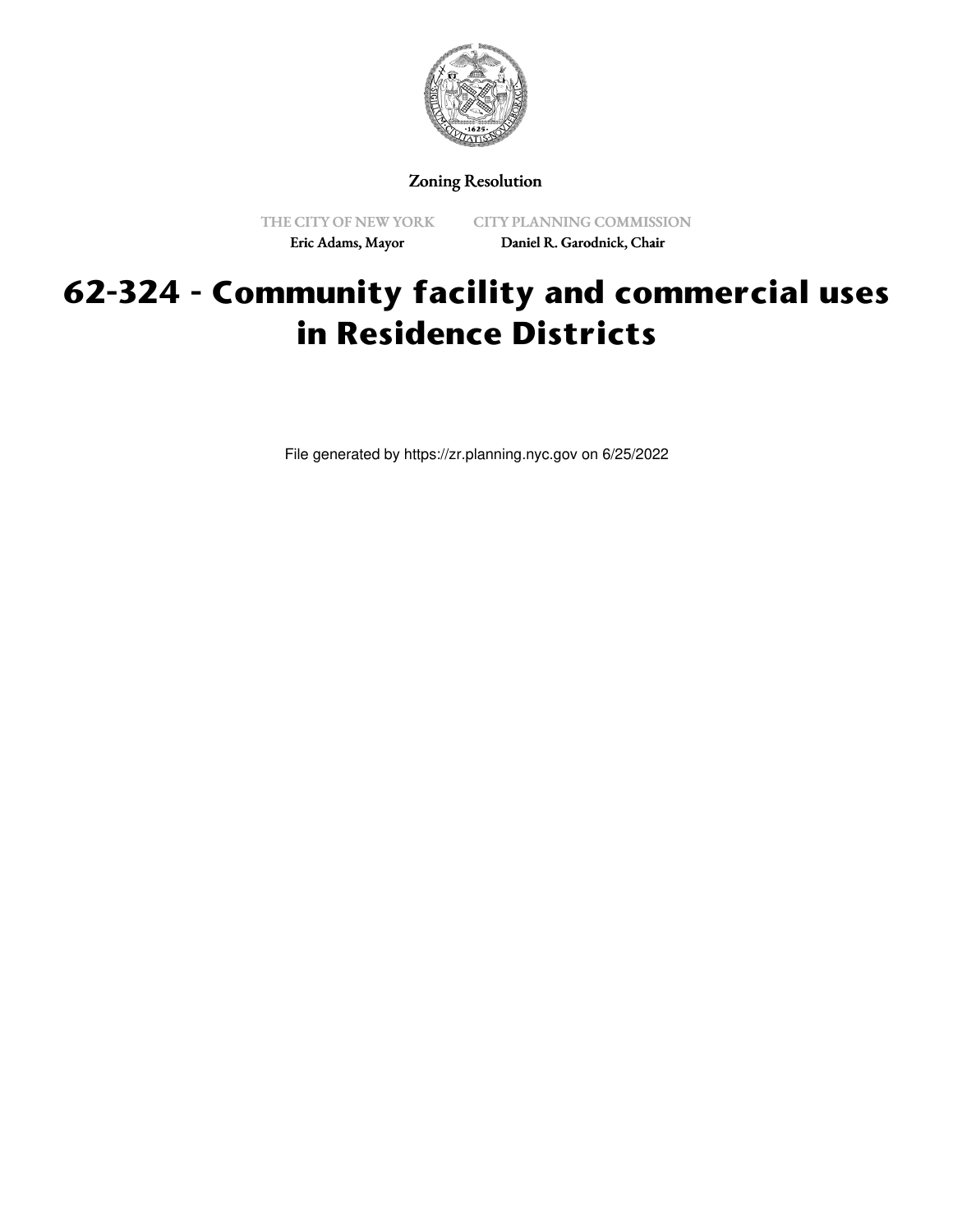

Zoning Resolution

THE CITY OF NEW YORK Eric Adams, Mayor

CITY PLANNING COMMISSION Daniel R. Garodnick, Chair

## **62-324 - Community facility and commercial uses in Residence Districts**

File generated by https://zr.planning.nyc.gov on 6/25/2022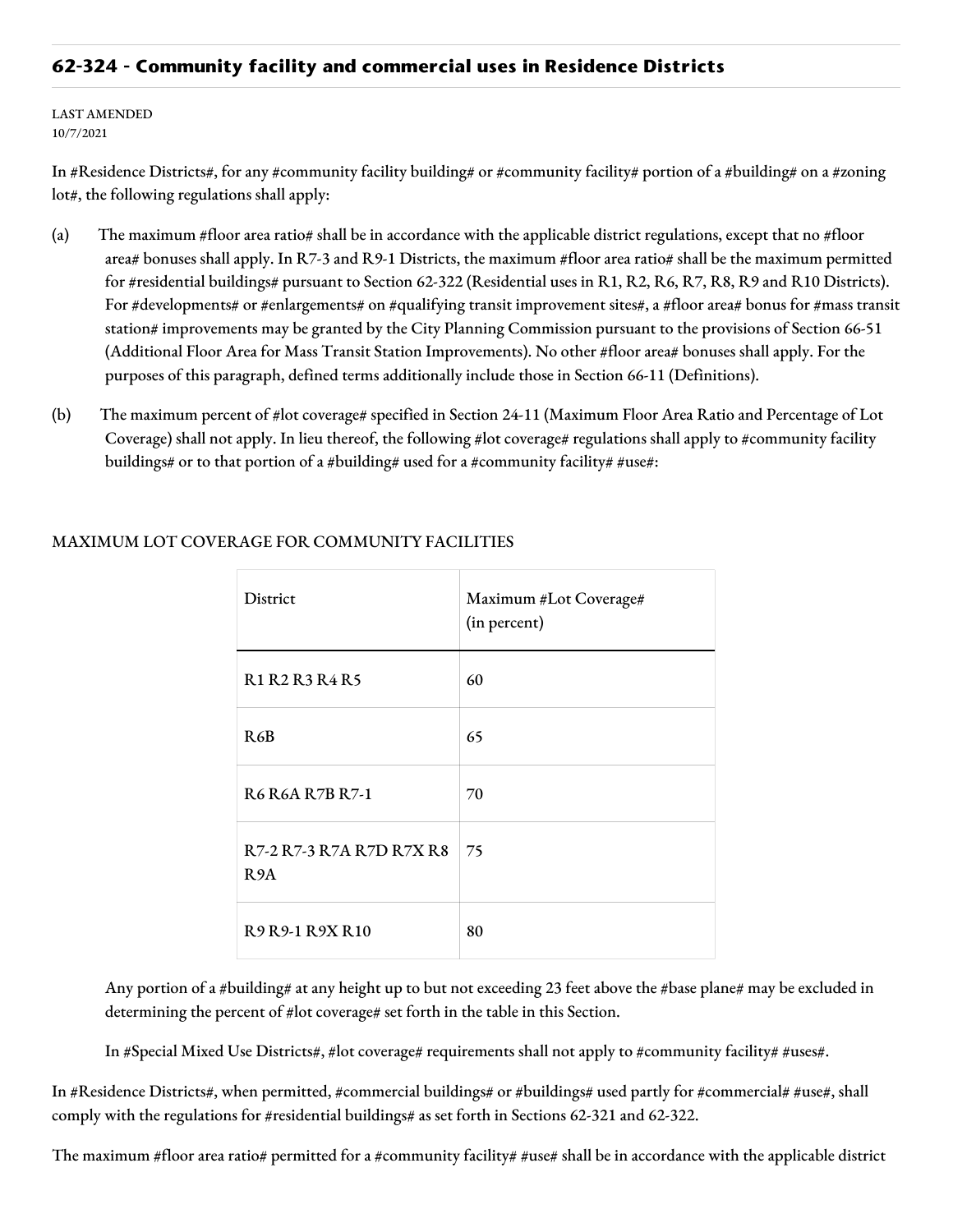## **62-324 - Community facility and commercial uses in Residence Districts**

## LAST AMENDED 10/7/2021

In #Residence Districts#, for any #community facility building# or #community facility# portion of a #building# on a #zoning lot#, the following regulations shall apply:

- (a) The maximum #floor area ratio# shall be in accordance with the applicable district regulations, except that no #floor area# bonuses shall apply. In R7-3 and R9-1 Districts, the maximum #floor area ratio# shall be the maximum permitted for #residential buildings# pursuant to Section 62-322 (Residential uses in R1, R2, R6, R7, R8, R9 and R10 Districts). For #developments# or #enlargements# on #qualifying transit improvement sites#, a #floor area# bonus for #mass transit station# improvements may be granted by the City Planning Commission pursuant to the provisions of Section 66-51 (Additional Floor Area for Mass Transit Station Improvements). No other #floor area# bonuses shall apply. For the purposes of this paragraph, defined terms additionally include those in Section 66-11 (Definitions).
- (b) The maximum percent of #lot coverage# specified in Section 24-11 (Maximum Floor Area Ratio and Percentage of Lot Coverage) shall not apply. In lieu thereof, the following #lot coverage# regulations shall apply to #community facility buildings# or to that portion of a #building# used for a #community facility# #use#:

| District                                        | Maximum #Lot Coverage#<br>(in percent) |
|-------------------------------------------------|----------------------------------------|
| <b>R1 R2 R3 R4 R5</b>                           | 60                                     |
| R6B                                             | 65                                     |
| <b>R6 R6A R7B R7-1</b>                          | 70                                     |
| R7-2 R7-3 R7A R7D R7X R8 75<br>R <sub>9</sub> A |                                        |
| <b>R9 R9-1 R9X R10</b>                          | 80                                     |

## MAXIMUM LOT COVERAGE FOR COMMUNITY FACILITIES

Any portion of a #building# at any height up to but not exceeding 23 feet above the #base plane# may be excluded in determining the percent of #lot coverage# set forth in the table in this Section.

In #Special Mixed Use Districts#, #lot coverage# requirements shall not apply to #community facility# #uses#.

In #Residence Districts#, when permitted, #commercial buildings# or #buildings# used partly for #commercial# #use#, shall comply with the regulations for #residential buildings# as set forth in Sections 62-321 and 62-322.

The maximum #floor area ratio# permitted for a #community facility# #use# shall be in accordance with the applicable district